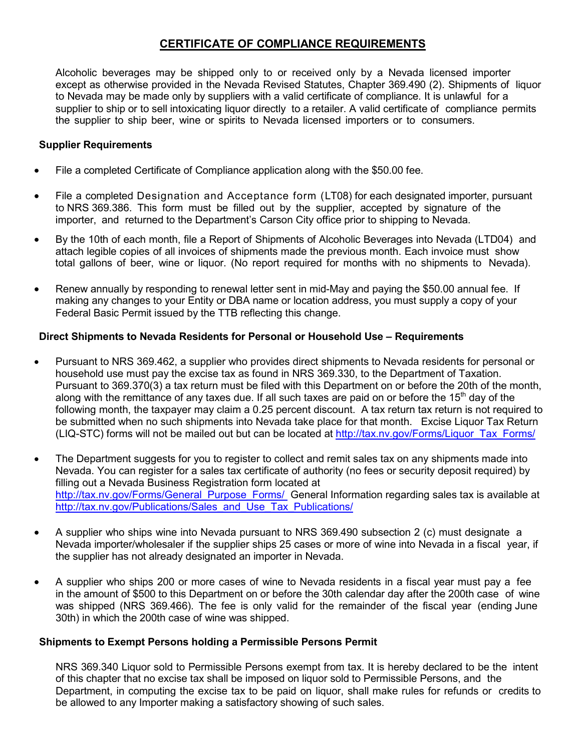### **CERTIFICATE OF COMPLIANCE REQUIREMENTS**

Alcoholic beverages may be shipped only to or received only by a Nevada licensed importer except as otherwise provided in the Nevada Revised Statutes, Chapter 369.490 (2). Shipments of liquor to Nevada may be made only by suppliers with a valid certificate of compliance. It is unlawful for a supplier to ship or to sell intoxicating liquor directly to a retailer. A valid certificate of compliance permits the supplier to ship beer, wine or spirits to Nevada licensed importers or to consumers.

#### **Supplier Requirements**

- File a completed Certificate of Compliance application along with the \$50.00 fee.
- File a completed Designation and Acceptance form (LT08) for each designated importer, pursuant to NRS 369.386. This form must be filled out by the supplier, accepted by signature of the importer, and returned to the Department's Carson City office prior to shipping to Nevada.
- By the 10th of each month, file a Report of Shipments of Alcoholic Beverages into Nevada (LTD04) and attach legible copies of all invoices of shipments made the previous month. Each invoice must show total gallons of beer, wine or liquor. (No report required for months with no shipments to Nevada).
- Renew annually by responding to renewal letter sent in mid-May and paying the \$50.00 annual fee. If making any changes to your Entity or DBA name or location address, you must supply a copy of your Federal Basic Permit issued by the TTB reflecting this change.

#### **Direct Shipments to Nevada Residents for Personal or Household Use – Requirements**

- Pursuant to NRS 369.462, a supplier who provides direct shipments to Nevada residents for personal or household use must pay the excise tax as found in NRS 369.330, to the Department of Taxation. Pursuant to 369.370(3) a tax return must be filed with this Department on or before the 20th of the month, along with the remittance of any taxes due. If all such taxes are paid on or before the 15<sup>th</sup> day of the following month, the taxpayer may claim a 0.25 percent discount. A tax return tax return is not required to be submitted when no such shipments into Nevada take place for that month. Excise Liquor Tax Return (LIQ-STC) forms will not be mailed out but can be located at http://tax.nv.gov/Forms/Liquor\_Tax\_Forms/
- The Department suggests for you to register to collect and remit sales tax on any shipments made into Nevada. You can register for a sales tax certificate of authority (no fees or security deposit required) by filling out a Nevada Business Registration form located at http://tax.nv.gov/Forms/General\_Purpose\_Forms/ General Information regarding sales tax is available at http://tax.nv.gov/Publications/Sales\_and\_Use\_Tax\_Publications/
- A supplier who ships wine into Nevada pursuant to NRS 369.490 subsection 2 (c) must designate a Nevada importer/wholesaler if the supplier ships 25 cases or more of wine into Nevada in a fiscal year, if the supplier has not already designated an importer in Nevada.
- A supplier who ships 200 or more cases of wine to Nevada residents in a fiscal year must pay a fee in the amount of \$500 to this Department on or before the 30th calendar day after the 200th case of wine was shipped (NRS 369.466). The fee is only valid for the remainder of the fiscal year (ending June 30th) in which the 200th case of wine was shipped.

#### **Shipments to Exempt Persons holding a Permissible Persons Permit**

NRS 369.340 Liquor sold to Permissible Persons exempt from tax. It is hereby declared to be the intent of this chapter that no excise tax shall be imposed on liquor sold to Permissible Persons, and the Department, in computing the excise tax to be paid on liquor, shall make rules for refunds or credits to be allowed to any Importer making a satisfactory showing of such sales.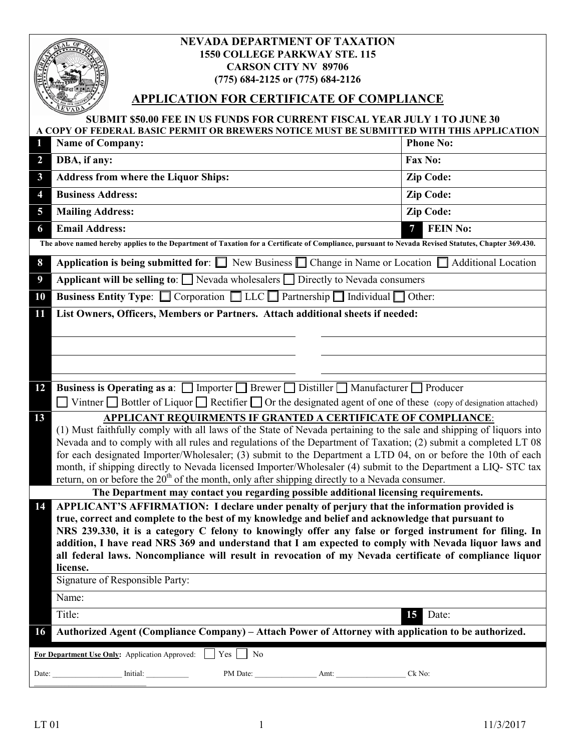|                                                                                                                                                     | <b>NEVADA DEPARTMENT OF TAXATION</b><br><b>1550 COLLEGE PARKWAY STE. 115</b><br><b>CARSON CITY NV 89706</b><br>(775) 684-2125 or (775) 684-2126                                                                                 |                      |  |
|-----------------------------------------------------------------------------------------------------------------------------------------------------|---------------------------------------------------------------------------------------------------------------------------------------------------------------------------------------------------------------------------------|----------------------|--|
| <b>APPLICATION FOR CERTIFICATE OF COMPLIANCE</b>                                                                                                    |                                                                                                                                                                                                                                 |                      |  |
| <b>SUBMIT \$50.00 FEE IN US FUNDS FOR CURRENT FISCAL YEAR JULY 1 TO JUNE 30</b>                                                                     |                                                                                                                                                                                                                                 |                      |  |
| 1                                                                                                                                                   | A COPY OF FEDERAL BASIC PERMIT OR BREWERS NOTICE MUST BE SUBMITTED WITH THIS APPLICATION<br><b>Name of Company:</b>                                                                                                             | <b>Phone No:</b>     |  |
| $\overline{2}$                                                                                                                                      | DBA, if any:                                                                                                                                                                                                                    | <b>Fax No:</b>       |  |
| $\mathbf{3}$                                                                                                                                        | <b>Address from where the Liquor Ships:</b>                                                                                                                                                                                     | <b>Zip Code:</b>     |  |
| 4                                                                                                                                                   | <b>Business Address:</b>                                                                                                                                                                                                        | <b>Zip Code:</b>     |  |
| 5                                                                                                                                                   | <b>Mailing Address:</b>                                                                                                                                                                                                         | <b>Zip Code:</b>     |  |
| 6                                                                                                                                                   | <b>Email Address:</b>                                                                                                                                                                                                           | <b>FEIN No:</b><br>7 |  |
| The above named hereby applies to the Department of Taxation for a Certificate of Compliance, pursuant to Nevada Revised Statutes, Chapter 369.430. |                                                                                                                                                                                                                                 |                      |  |
| 8                                                                                                                                                   | Application is being submitted for: $\Box$ New Business $\Box$ Change in Name or Location $\Box$ Additional Location                                                                                                            |                      |  |
| 9                                                                                                                                                   | Applicant will be selling to: $\Box$ Nevada wholesalers $\Box$ Directly to Nevada consumers                                                                                                                                     |                      |  |
| 10                                                                                                                                                  | Business Entity Type: Corporation LLC Partnership Individual Other:                                                                                                                                                             |                      |  |
| 11                                                                                                                                                  | List Owners, Officers, Members or Partners. Attach additional sheets if needed:                                                                                                                                                 |                      |  |
|                                                                                                                                                     |                                                                                                                                                                                                                                 |                      |  |
|                                                                                                                                                     |                                                                                                                                                                                                                                 |                      |  |
|                                                                                                                                                     |                                                                                                                                                                                                                                 |                      |  |
| 12                                                                                                                                                  | <b>Business is Operating as a:</b> $\Box$ Importer $\Box$ Brewer $\Box$ Distiller $\Box$ Manufacturer $\Box$ Producer                                                                                                           |                      |  |
|                                                                                                                                                     | $\Box$ Vintner $\Box$ Bottler of Liquor $\Box$ Rectifier $\Box$ Or the designated agent of one of these (copy of designation attached)                                                                                          |                      |  |
| 13                                                                                                                                                  | APPLICANT REQUIRMENTS IF GRANTED A CERTIFICATE OF COMPLIANCE:<br>(1) Must faithfully comply with all laws of the State of Nevada pertaining to the sale and shipping of liquors into                                            |                      |  |
|                                                                                                                                                     | Nevada and to comply with all rules and regulations of the Department of Taxation; (2) submit a completed LT 08                                                                                                                 |                      |  |
|                                                                                                                                                     | for each designated Importer/Wholesaler; (3) submit to the Department a LTD 04, on or before the 10th of each<br>month, if shipping directly to Nevada licensed Importer/Wholesaler (4) submit to the Department a LIQ- STC tax |                      |  |
|                                                                                                                                                     | return, on or before the $20th$ of the month, only after shipping directly to a Nevada consumer.                                                                                                                                |                      |  |
| The Department may contact you regarding possible additional licensing requirements.                                                                |                                                                                                                                                                                                                                 |                      |  |
| 14                                                                                                                                                  | APPLICANT'S AFFIRMATION: I declare under penalty of perjury that the information provided is<br>true, correct and complete to the best of my knowledge and belief and acknowledge that pursuant to                              |                      |  |
|                                                                                                                                                     | NRS 239.330, it is a category C felony to knowingly offer any false or forged instrument for filing. In                                                                                                                         |                      |  |
|                                                                                                                                                     | addition, I have read NRS 369 and understand that I am expected to comply with Nevada liquor laws and                                                                                                                           |                      |  |
|                                                                                                                                                     | all federal laws. Noncompliance will result in revocation of my Nevada certificate of compliance liquor<br>license.                                                                                                             |                      |  |
|                                                                                                                                                     | Signature of Responsible Party:                                                                                                                                                                                                 |                      |  |
|                                                                                                                                                     | Name:                                                                                                                                                                                                                           |                      |  |
|                                                                                                                                                     | Title:                                                                                                                                                                                                                          | 15 Date:             |  |
| Authorized Agent (Compliance Company) – Attach Power of Attorney with application to be authorized.<br><b>16</b>                                    |                                                                                                                                                                                                                                 |                      |  |
| $Yes \mid No$<br>For Department Use Only: Application Approved:                                                                                     |                                                                                                                                                                                                                                 |                      |  |
|                                                                                                                                                     |                                                                                                                                                                                                                                 |                      |  |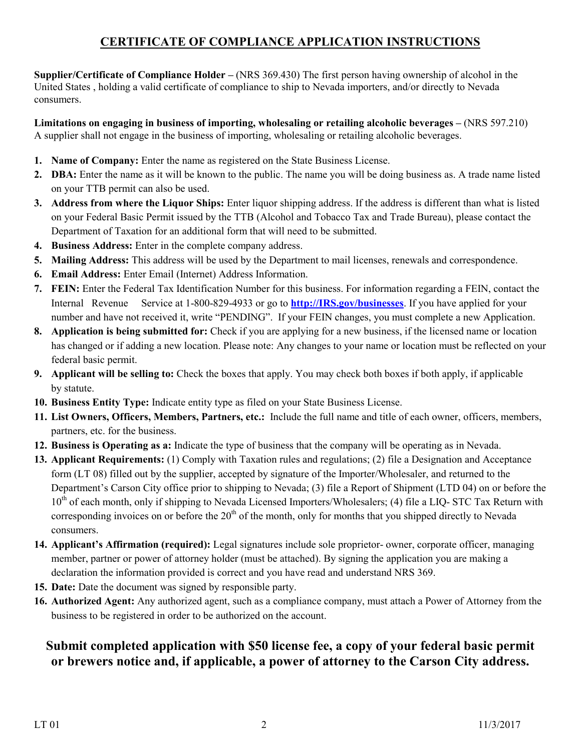# **CERTIFICATE OF COMPLIANCE APPLICATION INSTRUCTIONS**

**Supplier/Certificate of Compliance Holder – (NRS 369.430)** The first person having ownership of alcohol in the United States , holding a valid certificate of compliance to ship to Nevada importers, and/or directly to Nevada consumers.

Limitations on engaging in business of importing, wholesaling or retailing alcoholic beverages – (NRS 597.210) A supplier shall not engage in the business of importing, wholesaling or retailing alcoholic beverages.

- **1. Name of Company:** Enter the name as registered on the State Business License.
- **2. DBA:** Enter the name as it will be known to the public. The name you will be doing business as. A trade name listed on your TTB permit can also be used.
- **3. Address from where the Liquor Ships:** Enter liquor shipping address. If the address is different than what is listed on your Federal Basic Permit issued by the TTB (Alcohol and Tobacco Tax and Trade Bureau), please contact the Department of Taxation for an additional form that will need to be submitted.
- **4. Business Address:** Enter in the complete company address.
- **5. Mailing Address:** This address will be used by the Department to mail licenses, renewals and correspondence.
- **6. Email Address:** Enter Email (Internet) Address Information.
- **7. FEIN:** Enter the Federal Tax Identification Number for this business. For information regarding a FEIN, contact the Internal Revenue Service at 1-800-829-4933 or go to **http://IRS.gov/businesses**. If you have applied for your number and have not received it, write "PENDING". If your FEIN changes, you must complete a new Application.
- **8. Application is being submitted for:** Check if you are applying for a new business, if the licensed name or location has changed or if adding a new location. Please note: Any changes to your name or location must be reflected on your federal basic permit.
- **9. Applicant will be selling to:** Check the boxes that apply. You may check both boxes if both apply, if applicable by statute.
- **10. Business Entity Type:** Indicate entity type as filed on your State Business License.
- **11. List Owners, Officers, Members, Partners, etc.:** Include the full name and title of each owner, officers, members, partners, etc. for the business.
- **12. Business is Operating as a:** Indicate the type of business that the company will be operating as in Nevada.
- **13. Applicant Requirements:** (1) Comply with Taxation rules and regulations; (2) file a Designation and Acceptance form (LT 08) filled out by the supplier, accepted by signature of the Importer/Wholesaler, and returned to the Department's Carson City office prior to shipping to Nevada; (3) file a Report of Shipment (LTD 04) on or before the  $10<sup>th</sup>$  of each month, only if shipping to Nevada Licensed Importers/Wholesalers; (4) file a LIQ- STC Tax Return with corresponding invoices on or before the  $20<sup>th</sup>$  of the month, only for months that you shipped directly to Nevada consumers.
- **14. Applicant's Affirmation (required):** Legal signatures include sole proprietor- owner, corporate officer, managing member, partner or power of attorney holder (must be attached). By signing the application you are making a declaration the information provided is correct and you have read and understand NRS 369.
- **15. Date:** Date the document was signed by responsible party.
- **16. Authorized Agent:** Any authorized agent, such as a compliance company, must attach a Power of Attorney from the business to be registered in order to be authorized on the account.

# **Submit completed application with \$50 license fee, a copy of your federal basic permit or brewers notice and, if applicable, a power of attorney to the Carson City address.**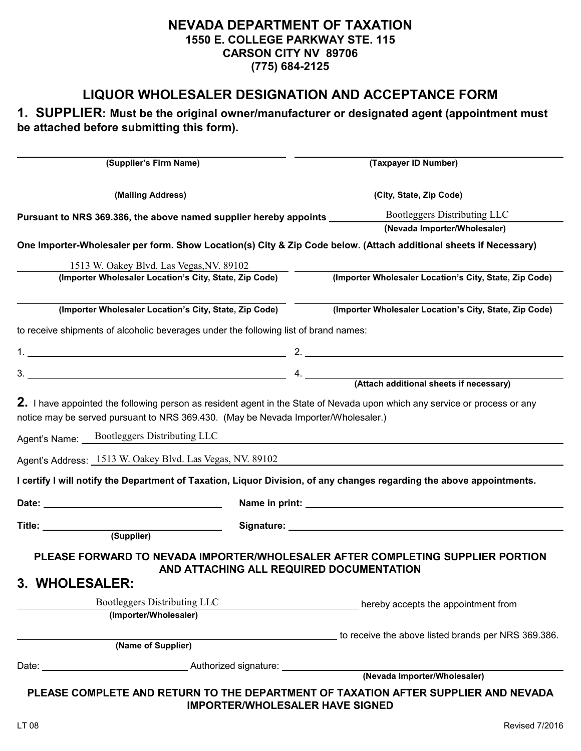### **NEVADA DEPARTMENT OF TAXATION 1550 E. COLLEGE PARKWAY STE. 115 CARSON CITY NV 89706 (775) 684-2125**

# **LIQUOR WHOLESALER DESIGNATION AND ACCEPTANCE FORM**

### **1. SUPPLIER: Must be the original owner/manufacturer or designated agent (appointment must be attached before submitting this form).**

| (Supplier's Firm Name)                                                                                                           | (Taxpayer ID Number)                                                                                                         |  |
|----------------------------------------------------------------------------------------------------------------------------------|------------------------------------------------------------------------------------------------------------------------------|--|
| (Mailing Address)                                                                                                                | (City, State, Zip Code)                                                                                                      |  |
| Pursuant to NRS 369.386, the above named supplier hereby appoints _______                                                        | Bootleggers Distributing LLC                                                                                                 |  |
|                                                                                                                                  | (Nevada Importer/Wholesaler)                                                                                                 |  |
|                                                                                                                                  | One Importer-Wholesaler per form. Show Location(s) City & Zip Code below. (Attach additional sheets if Necessary)            |  |
| 1513 W. Oakey Blvd. Las Vegas, NV. 89102                                                                                         |                                                                                                                              |  |
| (Importer Wholesaler Location's City, State, Zip Code)                                                                           | (Importer Wholesaler Location's City, State, Zip Code)                                                                       |  |
|                                                                                                                                  |                                                                                                                              |  |
| (Importer Wholesaler Location's City, State, Zip Code)                                                                           | (Importer Wholesaler Location's City, State, Zip Code)                                                                       |  |
| to receive shipments of alcoholic beverages under the following list of brand names:                                             |                                                                                                                              |  |
|                                                                                                                                  |                                                                                                                              |  |
|                                                                                                                                  |                                                                                                                              |  |
|                                                                                                                                  | $3.$ $4.$ $4.$ $(Attach additional sheets if necessary)$                                                                     |  |
| notice may be served pursuant to NRS 369.430. (May be Nevada Importer/Wholesaler.)<br>Agent's Name: Bootleggers Distributing LLC |                                                                                                                              |  |
| Agent's Address: 1513 W. Oakey Blvd. Las Vegas, NV. 89102                                                                        |                                                                                                                              |  |
|                                                                                                                                  | I certify I will notify the Department of Taxation, Liquor Division, of any changes regarding the above appointments.        |  |
| Date:                                                                                                                            |                                                                                                                              |  |
| (Supplier)                                                                                                                       |                                                                                                                              |  |
| 3. WHOLESALER:                                                                                                                   | PLEASE FORWARD TO NEVADA IMPORTER/WHOLESALER AFTER COMPLETING SUPPLIER PORTION<br>AND ATTACHING ALL REQUIRED DOCUMENTATION   |  |
| Bootleggers Distributing LLC                                                                                                     | hereby accepts the appointment from                                                                                          |  |
| (Importer/Wholesaler)                                                                                                            |                                                                                                                              |  |
| (Name of Supplier)                                                                                                               | to receive the above listed brands per NRS 369.386.                                                                          |  |
|                                                                                                                                  |                                                                                                                              |  |
|                                                                                                                                  |                                                                                                                              |  |
|                                                                                                                                  | PLEASE COMPLETE AND RETURN TO THE DEPARTMENT OF TAXATION AFTER SUPPLIER AND NEVADA<br><b>IMPORTER/WHOLESALER HAVE SIGNED</b> |  |